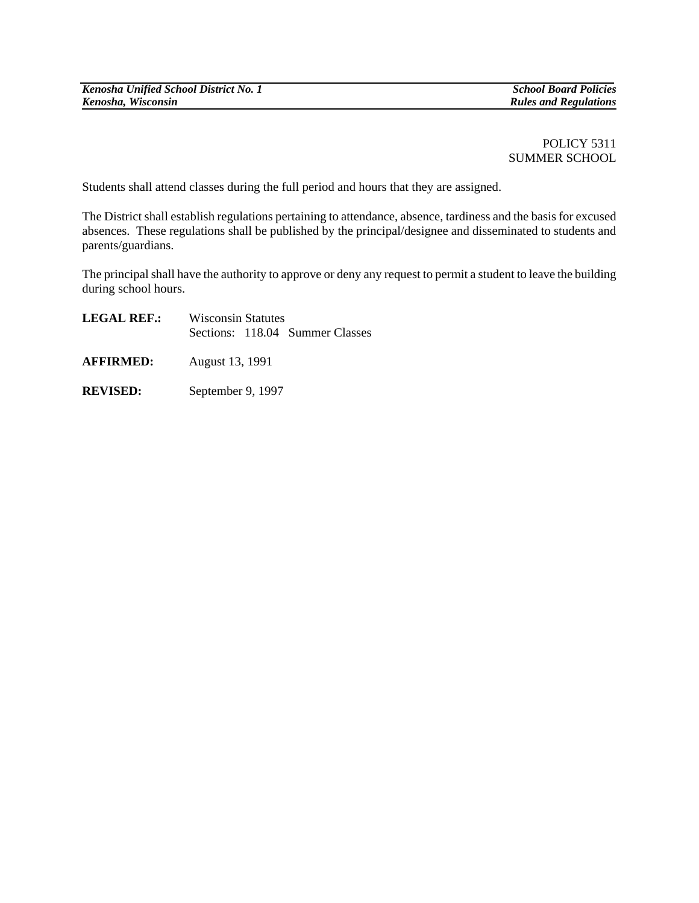POLICY 5311 SUMMER SCHOOL

Students shall attend classes during the full period and hours that they are assigned.

The District shall establish regulations pertaining to attendance, absence, tardiness and the basis for excused absences. These regulations shall be published by the principal/designee and disseminated to students and parents/guardians.

The principal shall have the authority to approve or deny any request to permit a student to leave the building during school hours.

| <b>LEGAL REF.:</b> | <b>Wisconsin Statutes</b> |  |                                 |
|--------------------|---------------------------|--|---------------------------------|
|                    |                           |  | Sections: 118.04 Summer Classes |
| <b>AFFIRMED:</b>   | August 13, 1991           |  |                                 |

**REVISED:** September 9, 1997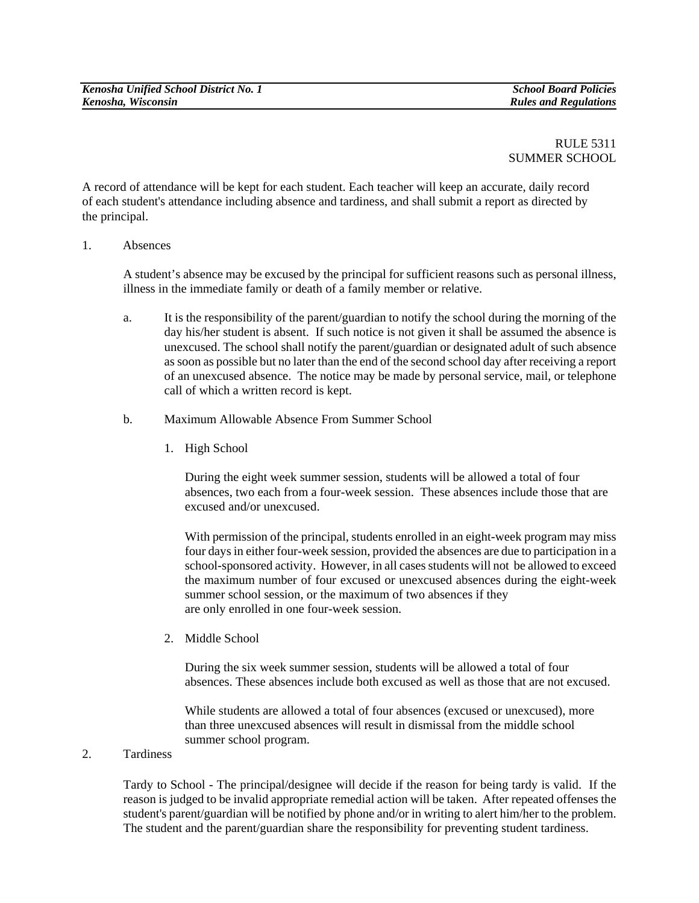## RULE 5311 SUMMER SCHOOL

A record of attendance will be kept for each student. Each teacher will keep an accurate, daily record of each student's attendance including absence and tardiness, and shall submit a report as directed by the principal.

1. Absences

 A student's absence may be excused by the principal for sufficient reasons such as personal illness, illness in the immediate family or death of a family member or relative.

- a. It is the responsibility of the parent/guardian to notify the school during the morning of the day his/her student is absent. If such notice is not given it shall be assumed the absence is unexcused. The school shall notify the parent/guardian or designated adult of such absence as soon as possible but no later than the end of the second school day after receiving a report of an unexcused absence. The notice may be made by personal service, mail, or telephone call of which a written record is kept.
- b. Maximum Allowable Absence From Summer School
	- 1. High School

During the eight week summer session, students will be allowed a total of four absences, two each from a four-week session. These absences include those that are excused and/or unexcused.

With permission of the principal, students enrolled in an eight-week program may miss four days in either four-week session, provided the absences are due to participation in a school-sponsored activity. However, in all cases students will not be allowed to exceed the maximum number of four excused or unexcused absences during the eight-week summer school session, or the maximum of two absences if they are only enrolled in one four-week session.

2. Middle School

During the six week summer session, students will be allowed a total of four absences. These absences include both excused as well as those that are not excused.

While students are allowed a total of four absences (excused or unexcused), more than three unexcused absences will result in dismissal from the middle school summer school program.

## 2. Tardiness

Tardy to School - The principal/designee will decide if the reason for being tardy is valid. If the reason is judged to be invalid appropriate remedial action will be taken. After repeated offenses the student's parent/guardian will be notified by phone and/or in writing to alert him/her to the problem. The student and the parent/guardian share the responsibility for preventing student tardiness.